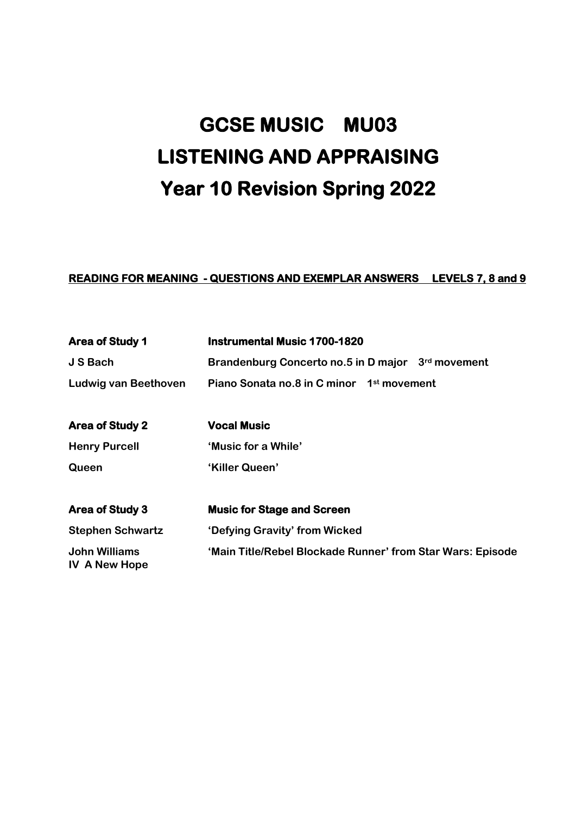# **GCSE MUSIC MU03 LISTENING AND APPRAISING Year 10 Revision Spring 2022**

# **READING FOR MEANING - QUESTIONS AND EXEMPLAR ANSWERS LEVELS 7, 8 and 9**

| <b>Area of Study 1</b>                       | <b>Instrumental Music 1700-1820</b>                        |
|----------------------------------------------|------------------------------------------------------------|
| <b>J S Bach</b>                              | Brandenburg Concerto no.5 in D major 3rd movement          |
| <b>Ludwig van Beethoven</b>                  | Piano Sonata no.8 in C minor 1 <sup>st</sup> movement      |
| <b>Area of Study 2</b>                       | <b>Vocal Music</b>                                         |
| <b>Henry Purcell</b>                         | 'Music for a While'                                        |
| Queen                                        | 'Killer Queen'                                             |
| <b>Area of Study 3</b>                       | <b>Music for Stage and Screen</b>                          |
| <b>Stephen Schwartz</b>                      | 'Defying Gravity' from Wicked                              |
| <b>John Williams</b><br><b>IV A New Hope</b> | 'Main Title/Rebel Blockade Runner' from Star Wars: Episode |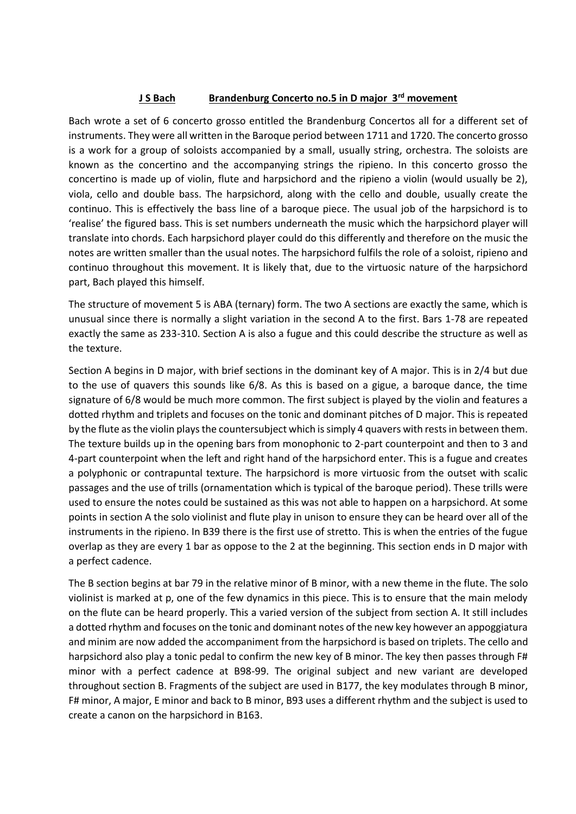#### **J S Bach Brandenburg Concerto no.5 in D major 3rd movement**

Bach wrote a set of 6 concerto grosso entitled the Brandenburg Concertos all for a different set of instruments. They were all written in the Baroque period between 1711 and 1720. The concerto grosso is a work for a group of soloists accompanied by a small, usually string, orchestra. The soloists are known as the concertino and the accompanying strings the ripieno. In this concerto grosso the concertino is made up of violin, flute and harpsichord and the ripieno a violin (would usually be 2), viola, cello and double bass. The harpsichord, along with the cello and double, usually create the continuo. This is effectively the bass line of a baroque piece. The usual job of the harpsichord is to 'realise' the figured bass. This is set numbers underneath the music which the harpsichord player will translate into chords. Each harpsichord player could do this differently and therefore on the music the notes are written smaller than the usual notes. The harpsichord fulfils the role of a soloist, ripieno and continuo throughout this movement. It is likely that, due to the virtuosic nature of the harpsichord part, Bach played this himself.

The structure of movement 5 is ABA (ternary) form. The two A sections are exactly the same, which is unusual since there is normally a slight variation in the second A to the first. Bars 1-78 are repeated exactly the same as 233-310. Section A is also a fugue and this could describe the structure as well as the texture.

Section A begins in D major, with brief sections in the dominant key of A major. This is in 2/4 but due to the use of quavers this sounds like 6/8. As this is based on a gigue, a baroque dance, the time signature of 6/8 would be much more common. The first subject is played by the violin and features a dotted rhythm and triplets and focuses on the tonic and dominant pitches of D major. This is repeated by the flute as the violin plays the countersubject which is simply 4 quavers with rests in between them. The texture builds up in the opening bars from monophonic to 2-part counterpoint and then to 3 and 4-part counterpoint when the left and right hand of the harpsichord enter. This is a fugue and creates a polyphonic or contrapuntal texture. The harpsichord is more virtuosic from the outset with scalic passages and the use of trills (ornamentation which is typical of the baroque period). These trills were used to ensure the notes could be sustained as this was not able to happen on a harpsichord. At some points in section A the solo violinist and flute play in unison to ensure they can be heard over all of the instruments in the ripieno. In B39 there is the first use of stretto. This is when the entries of the fugue overlap as they are every 1 bar as oppose to the 2 at the beginning. This section ends in D major with a perfect cadence.

The B section begins at bar 79 in the relative minor of B minor, with a new theme in the flute. The solo violinist is marked at p, one of the few dynamics in this piece. This is to ensure that the main melody on the flute can be heard properly. This a varied version of the subject from section A. It still includes a dotted rhythm and focuses on the tonic and dominant notes of the new key however an appoggiatura and minim are now added the accompaniment from the harpsichord is based on triplets. The cello and harpsichord also play a tonic pedal to confirm the new key of B minor. The key then passes through F# minor with a perfect cadence at B98-99. The original subject and new variant are developed throughout section B. Fragments of the subject are used in B177, the key modulates through B minor, F# minor, A major, E minor and back to B minor, B93 uses a different rhythm and the subject is used to create a canon on the harpsichord in B163.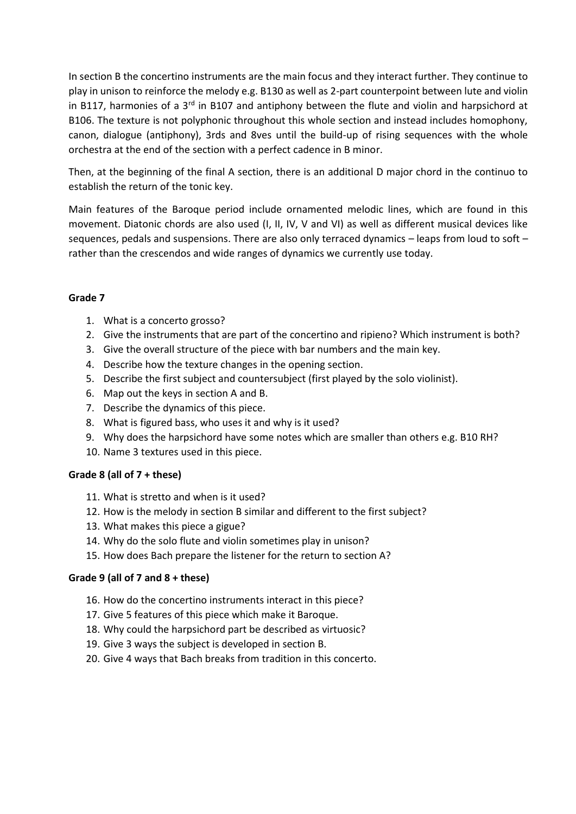In section B the concertino instruments are the main focus and they interact further. They continue to play in unison to reinforce the melody e.g. B130 as well as 2-part counterpoint between lute and violin in B117, harmonies of a 3<sup>rd</sup> in B107 and antiphony between the flute and violin and harpsichord at B106. The texture is not polyphonic throughout this whole section and instead includes homophony, canon, dialogue (antiphony), 3rds and 8ves until the build-up of rising sequences with the whole orchestra at the end of the section with a perfect cadence in B minor.

Then, at the beginning of the final A section, there is an additional D major chord in the continuo to establish the return of the tonic key.

Main features of the Baroque period include ornamented melodic lines, which are found in this movement. Diatonic chords are also used (I, II, IV, V and VI) as well as different musical devices like sequences, pedals and suspensions. There are also only terraced dynamics – leaps from loud to soft – rather than the crescendos and wide ranges of dynamics we currently use today.

## **Grade 7**

- 1. What is a concerto grosso?
- 2. Give the instruments that are part of the concertino and ripieno? Which instrument is both?
- 3. Give the overall structure of the piece with bar numbers and the main key.
- 4. Describe how the texture changes in the opening section.
- 5. Describe the first subject and countersubject (first played by the solo violinist).
- 6. Map out the keys in section A and B.
- 7. Describe the dynamics of this piece.
- 8. What is figured bass, who uses it and why is it used?
- 9. Why does the harpsichord have some notes which are smaller than others e.g. B10 RH?
- 10. Name 3 textures used in this piece.

#### **Grade 8 (all of 7 + these)**

- 11. What is stretto and when is it used?
- 12. How is the melody in section B similar and different to the first subject?
- 13. What makes this piece a gigue?
- 14. Why do the solo flute and violin sometimes play in unison?
- 15. How does Bach prepare the listener for the return to section A?

#### **Grade 9 (all of 7 and 8 + these)**

- 16. How do the concertino instruments interact in this piece?
- 17. Give 5 features of this piece which make it Baroque.
- 18. Why could the harpsichord part be described as virtuosic?
- 19. Give 3 ways the subject is developed in section B.
- 20. Give 4 ways that Bach breaks from tradition in this concerto.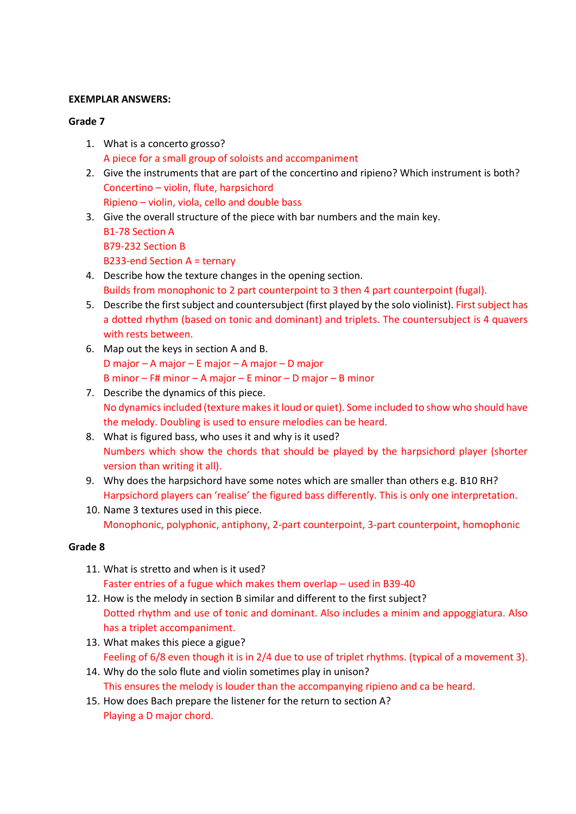#### **EXEMPLAR ANSWERS:**

#### **Grade 7**

- 1. What is a concerto grosso? A piece for a small group of soloists and accompaniment
- 2. Give the instruments that are part of the concertino and ripieno? Which instrument is both? Concertino – violin, flute, harpsichord Ripieno – violin, viola, cello and double bass
- 3. Give the overall structure of the piece with bar numbers and the main key. B1-78 Section A B79-232 Section B B233-end Section A = ternary
- 4. Describe how the texture changes in the opening section. Builds from monophonic to 2 part counterpoint to 3 then 4 part counterpoint (fugal).
- 5. Describe the first subject and countersubject (first played by the solo violinist). First subject has a dotted rhythm (based on tonic and dominant) and triplets. The countersubject is 4 quavers with rests between.
- 6. Map out the keys in section A and B. D major – A major – E major – A major – D major B minor – F# minor – A major – E minor – D major – B minor
- 7. Describe the dynamics of this piece. No dynamics included (texture makes it loud or quiet). Some included to show who should have the melody. Doubling is used to ensure melodies can be heard.
- 8. What is figured bass, who uses it and why is it used? Numbers which show the chords that should be played by the harpsichord player (shorter version than writing it all).
- 9. Why does the harpsichord have some notes which are smaller than others e.g. B10 RH? Harpsichord players can 'realise' the figured bass differently. This is only one interpretation.
- 10. Name 3 textures used in this piece. Monophonic, polyphonic, antiphony, 2-part counterpoint, 3-part counterpoint, homophonic

- 11. What is stretto and when is it used? Faster entries of a fugue which makes them overlap – used in B39-40
- 12. How is the melody in section B similar and different to the first subject? Dotted rhythm and use of tonic and dominant. Also includes a minim and appoggiatura. Also has a triplet accompaniment.
- 13. What makes this piece a gigue? Feeling of 6/8 even though it is in 2/4 due to use of triplet rhythms. (typical of a movement 3).
- 14. Why do the solo flute and violin sometimes play in unison? This ensures the melody is louder than the accompanying ripieno and ca be heard.
- 15. How does Bach prepare the listener for the return to section A? Playing a D major chord.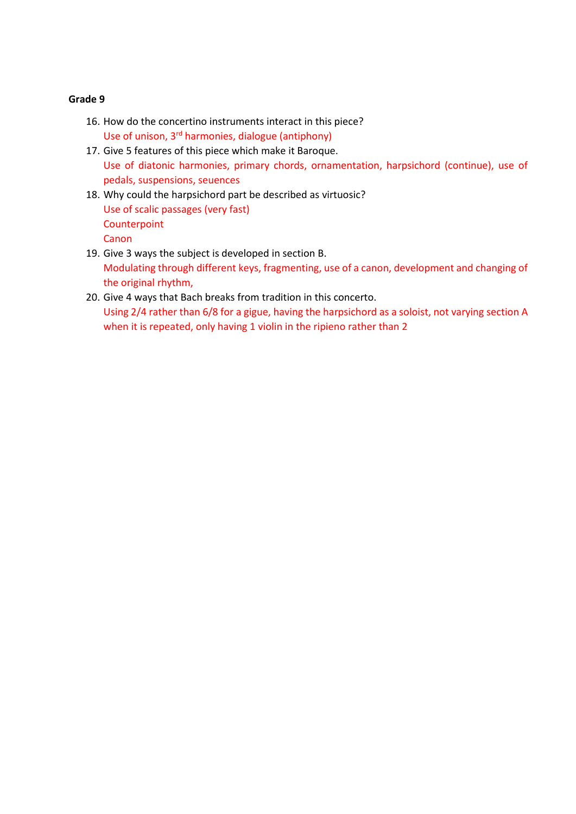- 16. How do the concertino instruments interact in this piece? Use of unison, 3rd harmonies, dialogue (antiphony)
- 17. Give 5 features of this piece which make it Baroque. Use of diatonic harmonies, primary chords, ornamentation, harpsichord (continue), use of pedals, suspensions, seuences
- 18. Why could the harpsichord part be described as virtuosic? Use of scalic passages (very fast) **Counterpoint Canon**
- 19. Give 3 ways the subject is developed in section B. Modulating through different keys, fragmenting, use of a canon, development and changing of the original rhythm,
- 20. Give 4 ways that Bach breaks from tradition in this concerto. Using 2/4 rather than 6/8 for a gigue, having the harpsichord as a soloist, not varying section A when it is repeated, only having 1 violin in the ripieno rather than 2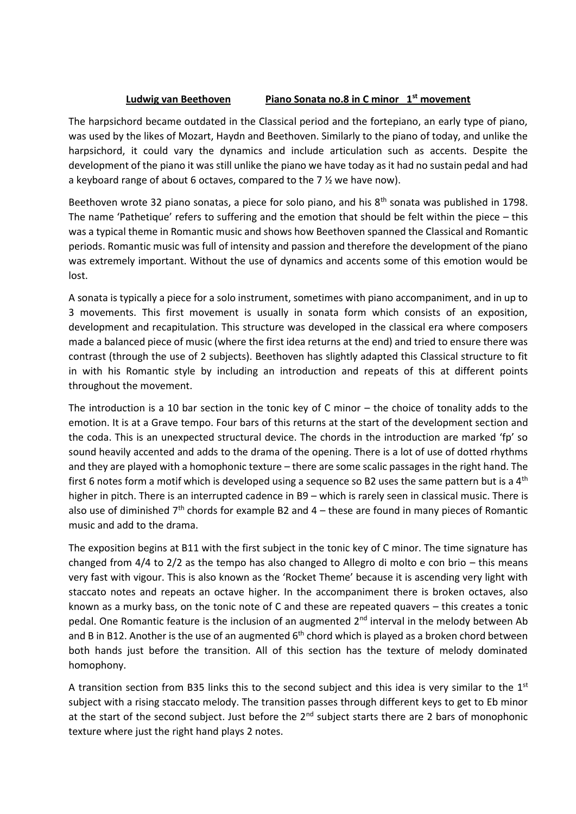## **Ludwig van Beethoven Piano Sonata no.8 in C minor 1st movement**

The harpsichord became outdated in the Classical period and the fortepiano, an early type of piano, was used by the likes of Mozart, Haydn and Beethoven. Similarly to the piano of today, and unlike the harpsichord, it could vary the dynamics and include articulation such as accents. Despite the development of the piano it was still unlike the piano we have today as it had no sustain pedal and had a keyboard range of about 6 octaves, compared to the 7 ½ we have now).

Beethoven wrote 32 piano sonatas, a piece for solo piano, and his 8<sup>th</sup> sonata was published in 1798. The name 'Pathetique' refers to suffering and the emotion that should be felt within the piece – this was a typical theme in Romantic music and shows how Beethoven spanned the Classical and Romantic periods. Romantic music was full of intensity and passion and therefore the development of the piano was extremely important. Without the use of dynamics and accents some of this emotion would be lost.

A sonata is typically a piece for a solo instrument, sometimes with piano accompaniment, and in up to 3 movements. This first movement is usually in sonata form which consists of an exposition, development and recapitulation. This structure was developed in the classical era where composers made a balanced piece of music (where the first idea returns at the end) and tried to ensure there was contrast (through the use of 2 subjects). Beethoven has slightly adapted this Classical structure to fit in with his Romantic style by including an introduction and repeats of this at different points throughout the movement.

The introduction is a 10 bar section in the tonic key of C minor – the choice of tonality adds to the emotion. It is at a Grave tempo. Four bars of this returns at the start of the development section and the coda. This is an unexpected structural device. The chords in the introduction are marked 'fp' so sound heavily accented and adds to the drama of the opening. There is a lot of use of dotted rhythms and they are played with a homophonic texture – there are some scalic passages in the right hand. The first 6 notes form a motif which is developed using a sequence so B2 uses the same pattern but is a  $4<sup>th</sup>$ higher in pitch. There is an interrupted cadence in B9 – which is rarely seen in classical music. There is also use of diminished  $7<sup>th</sup>$  chords for example B2 and 4 – these are found in many pieces of Romantic music and add to the drama.

The exposition begins at B11 with the first subject in the tonic key of C minor. The time signature has changed from 4/4 to 2/2 as the tempo has also changed to Allegro di molto e con brio – this means very fast with vigour. This is also known as the 'Rocket Theme' because it is ascending very light with staccato notes and repeats an octave higher. In the accompaniment there is broken octaves, also known as a murky bass, on the tonic note of C and these are repeated quavers – this creates a tonic pedal. One Romantic feature is the inclusion of an augmented 2<sup>nd</sup> interval in the melody between Ab and B in B12. Another is the use of an augmented  $6<sup>th</sup>$  chord which is played as a broken chord between both hands just before the transition. All of this section has the texture of melody dominated homophony.

A transition section from B35 links this to the second subject and this idea is very similar to the 1<sup>st</sup> subject with a rising staccato melody. The transition passes through different keys to get to Eb minor at the start of the second subject. Just before the  $2^{nd}$  subject starts there are 2 bars of monophonic texture where just the right hand plays 2 notes.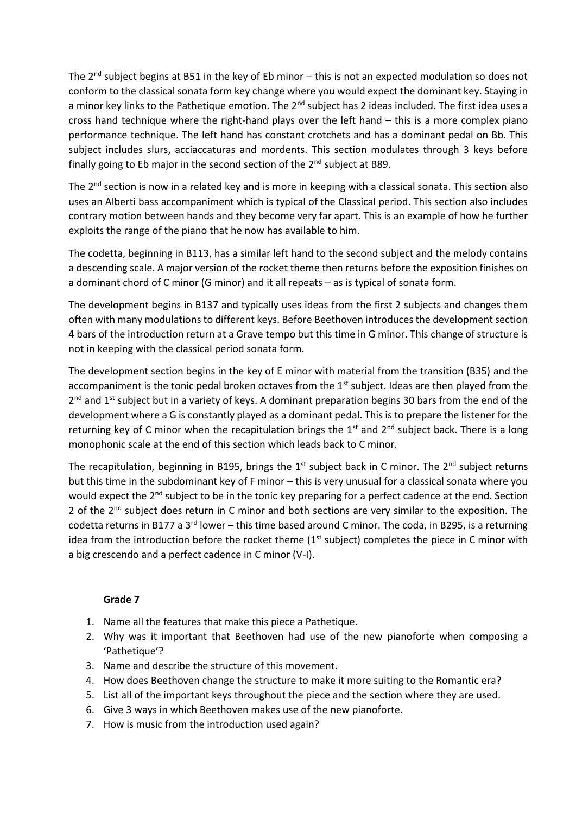The  $2^{nd}$  subject begins at B51 in the key of Eb minor – this is not an expected modulation so does not conform to the classical sonata form key change where you would expect the dominant key. Staying in a minor key links to the Pathetique emotion. The 2<sup>nd</sup> subject has 2 ideas included. The first idea uses a cross hand technique where the right-hand plays over the left hand – this is a more complex piano performance technique. The left hand has constant crotchets and has a dominant pedal on Bb. This subject includes slurs, acciaccaturas and mordents. This section modulates through 3 keys before finally going to Eb major in the second section of the  $2^{nd}$  subject at B89.

The 2<sup>nd</sup> section is now in a related key and is more in keeping with a classical sonata. This section also uses an Alberti bass accompaniment which is typical of the Classical period. This section also includes contrary motion between hands and they become very far apart. This is an example of how he further exploits the range of the piano that he now has available to him.

The codetta, beginning in B113, has a similar left hand to the second subject and the melody contains a descending scale. A major version of the rocket theme then returns before the exposition finishes on a dominant chord of C minor (G minor) and it all repeats – as is typical of sonata form.

The development begins in B137 and typically uses ideas from the first 2 subjects and changes them often with many modulations to different keys. Before Beethoven introduces the development section 4 bars of the introduction return at a Grave tempo but this time in G minor. This change of structure is not in keeping with the classical period sonata form.

The development section begins in the key of E minor with material from the transition (B35) and the accompaniment is the tonic pedal broken octaves from the 1<sup>st</sup> subject. Ideas are then played from the 2<sup>nd</sup> and 1<sup>st</sup> subject but in a variety of keys. A dominant preparation begins 30 bars from the end of the development where a G is constantly played as a dominant pedal. This is to prepare the listener for the returning key of C minor when the recapitulation brings the  $1<sup>st</sup>$  and  $2<sup>nd</sup>$  subject back. There is a long monophonic scale at the end of this section which leads back to C minor.

The recapitulation, beginning in B195, brings the  $1<sup>st</sup>$  subject back in C minor. The  $2<sup>nd</sup>$  subject returns but this time in the subdominant key of F minor – this is very unusual for a classical sonata where you would expect the 2<sup>nd</sup> subject to be in the tonic key preparing for a perfect cadence at the end. Section 2 of the 2<sup>nd</sup> subject does return in C minor and both sections are very similar to the exposition. The codetta returns in B177 a 3<sup>rd</sup> lower – this time based around C minor. The coda, in B295, is a returning idea from the introduction before the rocket theme  $(1<sup>st</sup>$  subject) completes the piece in C minor with a big crescendo and a perfect cadence in C minor (V-I).

- 1. Name all the features that make this piece a Pathetique.
- 2. Why was it important that Beethoven had use of the new pianoforte when composing a 'Pathetique'?
- 3. Name and describe the structure of this movement.
- 4. How does Beethoven change the structure to make it more suiting to the Romantic era?
- 5. List all of the important keys throughout the piece and the section where they are used.
- 6. Give 3 ways in which Beethoven makes use of the new pianoforte.
- 7. How is music from the introduction used again?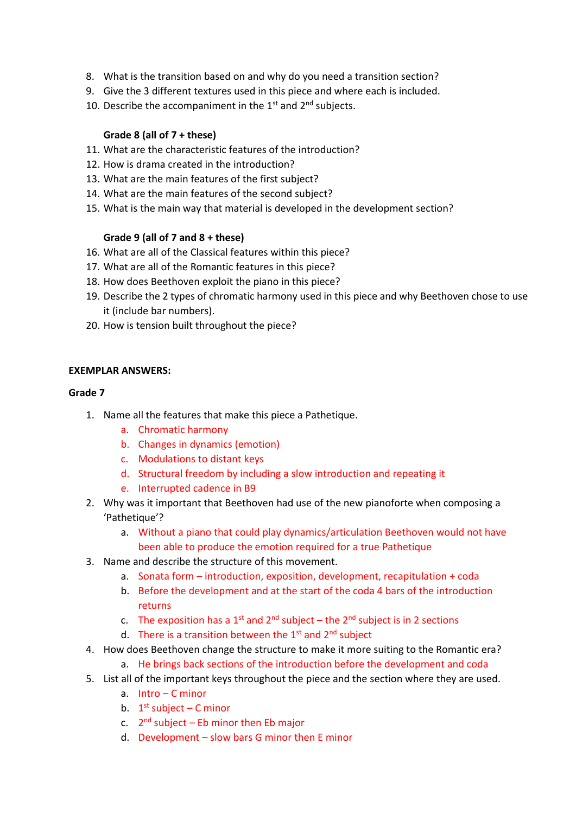- 8. What is the transition based on and why do you need a transition section?
- 9. Give the 3 different textures used in this piece and where each is included.
- 10. Describe the accompaniment in the  $1<sup>st</sup>$  and  $2<sup>nd</sup>$  subjects.

## **Grade 8 (all of 7 + these)**

- 11. What are the characteristic features of the introduction?
- 12. How is drama created in the introduction?
- 13. What are the main features of the first subject?
- 14. What are the main features of the second subject?
- 15. What is the main way that material is developed in the development section?

## **Grade 9 (all of 7 and 8 + these)**

- 16. What are all of the Classical features within this piece?
- 17. What are all of the Romantic features in this piece?
- 18. How does Beethoven exploit the piano in this piece?
- 19. Describe the 2 types of chromatic harmony used in this piece and why Beethoven chose to use it (include bar numbers).
- 20. How is tension built throughout the piece?

#### **EXEMPLAR ANSWERS:**

- 1. Name all the features that make this piece a Pathetique.
	- a. Chromatic harmony
	- b. Changes in dynamics (emotion)
	- c. Modulations to distant keys
	- d. Structural freedom by including a slow introduction and repeating it
	- e. Interrupted cadence in B9
- 2. Why was it important that Beethoven had use of the new pianoforte when composing a 'Pathetique'?
	- a. Without a piano that could play dynamics/articulation Beethoven would not have been able to produce the emotion required for a true Pathetique
- 3. Name and describe the structure of this movement.
	- a. Sonata form introduction, exposition, development, recapitulation + coda
	- b. Before the development and at the start of the coda 4 bars of the introduction returns
	- c. The exposition has a 1<sup>st</sup> and  $2^{nd}$  subject the  $2^{nd}$  subject is in 2 sections
	- d. There is a transition between the  $1<sup>st</sup>$  and  $2<sup>nd</sup>$  subject
- 4. How does Beethoven change the structure to make it more suiting to the Romantic era?
	- a. He brings back sections of the introduction before the development and coda
- 5. List all of the important keys throughout the piece and the section where they are used.
	- a. Intro C minor
	- b.  $1<sup>st</sup>$  subject C minor
	- c.  $2^{nd}$  subject Eb minor then Eb major
	- d. Development slow bars G minor then E minor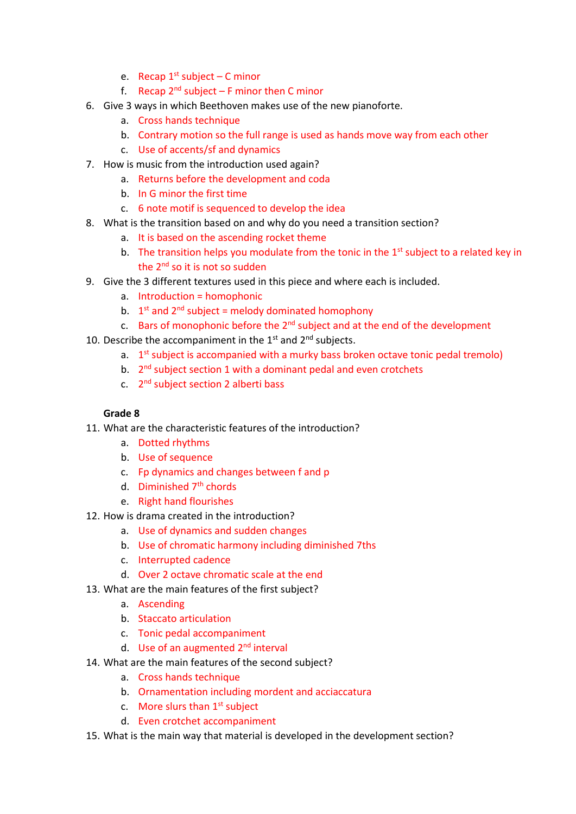- e. Recap  $1^{st}$  subject C minor
- f. Recap  $2^{nd}$  subject F minor then C minor
- 6. Give 3 ways in which Beethoven makes use of the new pianoforte.
	- a. Cross hands technique
	- b. Contrary motion so the full range is used as hands move way from each other
	- c. Use of accents/sf and dynamics
- 7. How is music from the introduction used again?
	- a. Returns before the development and coda
	- b. In G minor the first time
	- c. 6 note motif is sequenced to develop the idea
- 8. What is the transition based on and why do you need a transition section?
	- a. It is based on the ascending rocket theme
	- b. The transition helps you modulate from the tonic in the  $1<sup>st</sup>$  subject to a related key in the  $2^{nd}$  so it is not so sudden
- 9. Give the 3 different textures used in this piece and where each is included.
	- a. Introduction = homophonic
	- b.  $1<sup>st</sup>$  and  $2<sup>nd</sup>$  subject = melody dominated homophony
	- c. Bars of monophonic before the  $2<sup>nd</sup>$  subject and at the end of the development
- 10. Describe the accompaniment in the  $1<sup>st</sup>$  and  $2<sup>nd</sup>$  subjects.
	- a. 1<sup>st</sup> subject is accompanied with a murky bass broken octave tonic pedal tremolo)
	- b. 2<sup>nd</sup> subject section 1 with a dominant pedal and even crotchets
	- c. 2<sup>nd</sup> subject section 2 alberti bass

- 11. What are the characteristic features of the introduction?
	- a. Dotted rhythms
	- b. Use of sequence
	- c. Fp dynamics and changes between f and p
	- d. Diminished 7<sup>th</sup> chords
	- e. Right hand flourishes
- 12. How is drama created in the introduction?
	- a. Use of dynamics and sudden changes
	- b. Use of chromatic harmony including diminished 7ths
	- c. Interrupted cadence
	- d. Over 2 octave chromatic scale at the end
- 13. What are the main features of the first subject?
	- a. Ascending
	- b. Staccato articulation
	- c. Tonic pedal accompaniment
	- d. Use of an augmented 2<sup>nd</sup> interval
- 14. What are the main features of the second subject?
	- a. Cross hands technique
	- b. Ornamentation including mordent and acciaccatura
	- c. More slurs than  $1<sup>st</sup>$  subject
	- d. Even crotchet accompaniment
- 15. What is the main way that material is developed in the development section?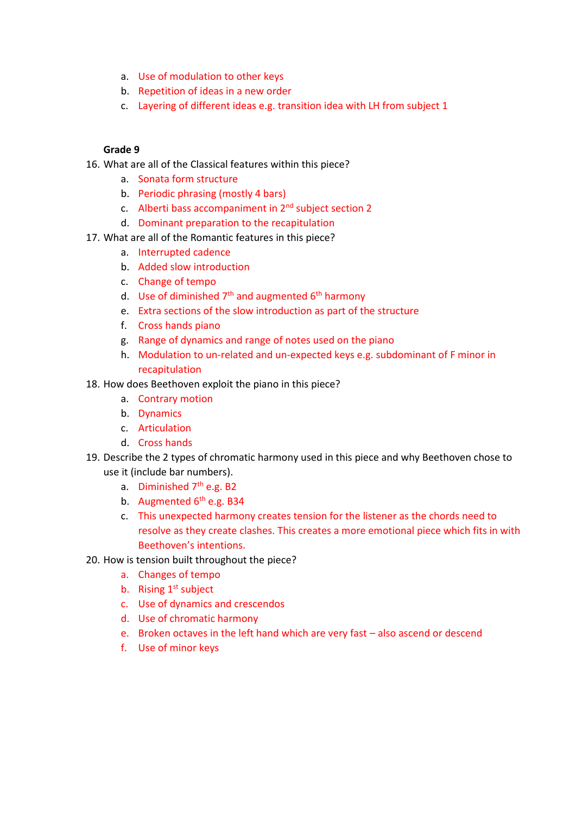- a. Use of modulation to other keys
- b. Repetition of ideas in a new order
- c. Layering of different ideas e.g. transition idea with LH from subject 1

- 16. What are all of the Classical features within this piece?
	- a. Sonata form structure
	- b. Periodic phrasing (mostly 4 bars)
	- c. Alberti bass accompaniment in  $2<sup>nd</sup>$  subject section 2
	- d. Dominant preparation to the recapitulation
- 17. What are all of the Romantic features in this piece?
	- a. Interrupted cadence
	- b. Added slow introduction
	- c. Change of tempo
	- d. Use of diminished  $7<sup>th</sup>$  and augmented  $6<sup>th</sup>$  harmony
	- e. Extra sections of the slow introduction as part of the structure
	- f. Cross hands piano
	- g. Range of dynamics and range of notes used on the piano
	- h. Modulation to un-related and un-expected keys e.g. subdominant of F minor in recapitulation
- 18. How does Beethoven exploit the piano in this piece?
	- a. Contrary motion
	- b. Dynamics
	- c. Articulation
	- d. Cross hands
- 19. Describe the 2 types of chromatic harmony used in this piece and why Beethoven chose to use it (include bar numbers).
	- a. Diminished  $7<sup>th</sup>$  e.g. B2
	- b. Augmented  $6<sup>th</sup>$  e.g. B34
	- c. This unexpected harmony creates tension for the listener as the chords need to resolve as they create clashes. This creates a more emotional piece which fits in with Beethoven's intentions.
- 20. How is tension built throughout the piece?
	- a. Changes of tempo
	- b. Rising  $1<sup>st</sup>$  subject
	- c. Use of dynamics and crescendos
	- d. Use of chromatic harmony
	- e. Broken octaves in the left hand which are very fast also ascend or descend
	- f. Use of minor keys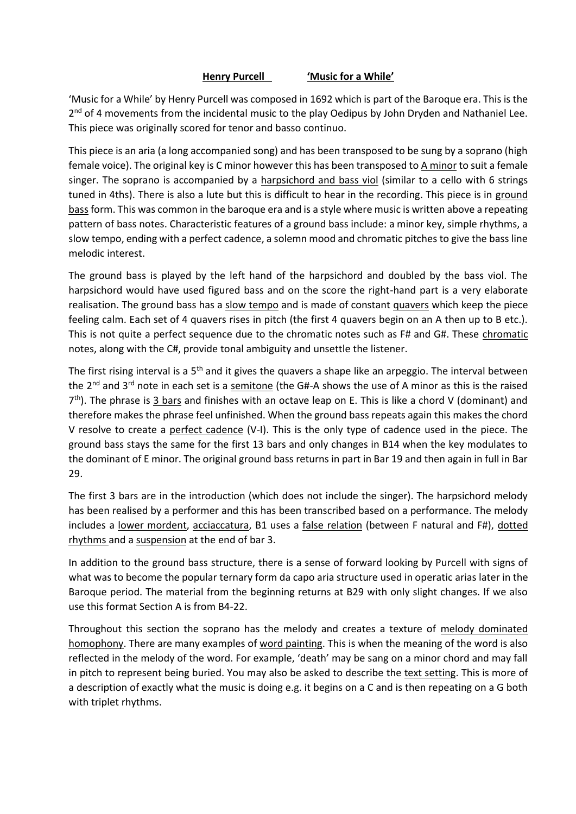## **Henry Purcell 'Music for a While'**

'Music for a While' by Henry Purcell was composed in 1692 which is part of the Baroque era. This is the 2<sup>nd</sup> of 4 movements from the incidental music to the play Oedipus by John Dryden and Nathaniel Lee. This piece was originally scored for tenor and basso continuo.

This piece is an aria (a long accompanied song) and has been transposed to be sung by a soprano (high female voice). The original key is C minor however this has been transposed to A minor to suit a female singer. The soprano is accompanied by a harpsichord and bass viol (similar to a cello with 6 strings tuned in 4ths). There is also a lute but this is difficult to hear in the recording. This piece is in ground bass form. This was common in the baroque era and is a style where music is written above a repeating pattern of bass notes. Characteristic features of a ground bass include: a minor key, simple rhythms, a slow tempo, ending with a perfect cadence, a solemn mood and chromatic pitches to give the bass line melodic interest.

The ground bass is played by the left hand of the harpsichord and doubled by the bass viol. The harpsichord would have used figured bass and on the score the right-hand part is a very elaborate realisation. The ground bass has a slow tempo and is made of constant quavers which keep the piece feeling calm. Each set of 4 quavers rises in pitch (the first 4 quavers begin on an A then up to B etc.). This is not quite a perfect sequence due to the chromatic notes such as F# and G#. These chromatic notes, along with the C#, provide tonal ambiguity and unsettle the listener.

The first rising interval is a 5<sup>th</sup> and it gives the quavers a shape like an arpeggio. The interval between the 2nd and 3rd note in each set is a semitone (the G#-A shows the use of A minor as this is the raised 7<sup>th</sup>). The phrase is 3 bars and finishes with an octave leap on E. This is like a chord V (dominant) and therefore makes the phrase feel unfinished. When the ground bass repeats again this makes the chord V resolve to create a perfect cadence (V-I). This is the only type of cadence used in the piece. The ground bass stays the same for the first 13 bars and only changes in B14 when the key modulates to the dominant of E minor. The original ground bass returns in part in Bar 19 and then again in full in Bar 29.

The first 3 bars are in the introduction (which does not include the singer). The harpsichord melody has been realised by a performer and this has been transcribed based on a performance. The melody includes a lower mordent, acciaccatura, B1 uses a false relation (between F natural and F#), dotted rhythms and a suspension at the end of bar 3.

In addition to the ground bass structure, there is a sense of forward looking by Purcell with signs of what was to become the popular ternary form da capo aria structure used in operatic arias later in the Baroque period. The material from the beginning returns at B29 with only slight changes. If we also use this format Section A is from B4-22.

Throughout this section the soprano has the melody and creates a texture of melody dominated homophony. There are many examples of word painting. This is when the meaning of the word is also reflected in the melody of the word. For example, 'death' may be sang on a minor chord and may fall in pitch to represent being buried. You may also be asked to describe the text setting. This is more of a description of exactly what the music is doing e.g. it begins on a C and is then repeating on a G both with triplet rhythms.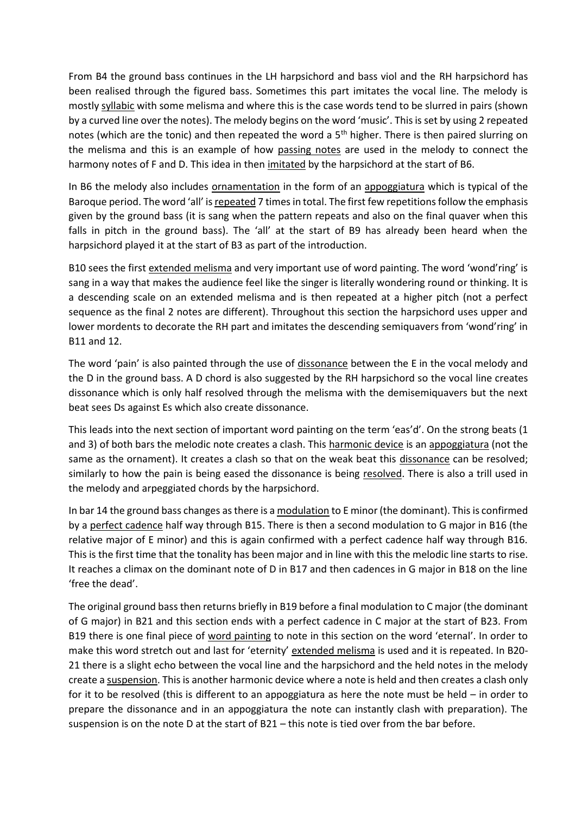From B4 the ground bass continues in the LH harpsichord and bass viol and the RH harpsichord has been realised through the figured bass. Sometimes this part imitates the vocal line. The melody is mostly syllabic with some melisma and where this is the case words tend to be slurred in pairs (shown by a curved line over the notes). The melody begins on the word 'music'. This is set by using 2 repeated notes (which are the tonic) and then repeated the word a 5<sup>th</sup> higher. There is then paired slurring on the melisma and this is an example of how passing notes are used in the melody to connect the harmony notes of F and D. This idea in then imitated by the harpsichord at the start of B6.

In B6 the melody also includes ornamentation in the form of an appoggiatura which is typical of the Baroque period. The word 'all' is repeated 7 times in total. The first few repetitions follow the emphasis given by the ground bass (it is sang when the pattern repeats and also on the final quaver when this falls in pitch in the ground bass). The 'all' at the start of B9 has already been heard when the harpsichord played it at the start of B3 as part of the introduction.

B10 sees the first extended melisma and very important use of word painting. The word 'wond'ring' is sang in a way that makes the audience feel like the singer is literally wondering round or thinking. It is a descending scale on an extended melisma and is then repeated at a higher pitch (not a perfect sequence as the final 2 notes are different). Throughout this section the harpsichord uses upper and lower mordents to decorate the RH part and imitates the descending semiquavers from 'wond'ring' in B11 and 12.

The word 'pain' is also painted through the use of dissonance between the E in the vocal melody and the D in the ground bass. A D chord is also suggested by the RH harpsichord so the vocal line creates dissonance which is only half resolved through the melisma with the demisemiquavers but the next beat sees Ds against Es which also create dissonance.

This leads into the next section of important word painting on the term 'eas'd'. On the strong beats (1 and 3) of both bars the melodic note creates a clash. This harmonic device is an appoggiatura (not the same as the ornament). It creates a clash so that on the weak beat this dissonance can be resolved; similarly to how the pain is being eased the dissonance is being resolved. There is also a trill used in the melody and arpeggiated chords by the harpsichord.

In bar 14 the ground bass changes as there is a modulation to E minor (the dominant). This is confirmed by a perfect cadence half way through B15. There is then a second modulation to G major in B16 (the relative major of E minor) and this is again confirmed with a perfect cadence half way through B16. This is the first time that the tonality has been major and in line with this the melodic line starts to rise. It reaches a climax on the dominant note of D in B17 and then cadences in G major in B18 on the line 'free the dead'.

The original ground bass then returns briefly in B19 before a final modulation to C major (the dominant of G major) in B21 and this section ends with a perfect cadence in C major at the start of B23. From B19 there is one final piece of word painting to note in this section on the word 'eternal'. In order to make this word stretch out and last for 'eternity' extended melisma is used and it is repeated. In B20- 21 there is a slight echo between the vocal line and the harpsichord and the held notes in the melody create a suspension. This is another harmonic device where a note is held and then creates a clash only for it to be resolved (this is different to an appoggiatura as here the note must be held – in order to prepare the dissonance and in an appoggiatura the note can instantly clash with preparation). The suspension is on the note D at the start of B21 – this note is tied over from the bar before.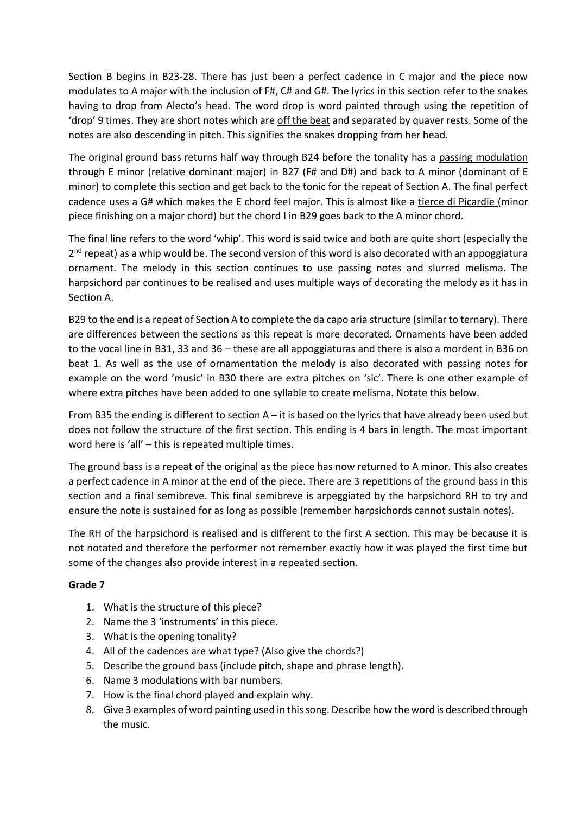Section B begins in B23-28. There has just been a perfect cadence in C major and the piece now modulates to A major with the inclusion of F#, C# and G#. The lyrics in this section refer to the snakes having to drop from Alecto's head. The word drop is word painted through using the repetition of 'drop' 9 times. They are short notes which are off the beat and separated by quaver rests. Some of the notes are also descending in pitch. This signifies the snakes dropping from her head.

The original ground bass returns half way through B24 before the tonality has a passing modulation through E minor (relative dominant major) in B27 (F# and D#) and back to A minor (dominant of E minor) to complete this section and get back to the tonic for the repeat of Section A. The final perfect cadence uses a G# which makes the E chord feel major. This is almost like a tierce di Picardie (minor piece finishing on a major chord) but the chord I in B29 goes back to the A minor chord.

The final line refers to the word 'whip'. This word is said twice and both are quite short (especially the 2<sup>nd</sup> repeat) as a whip would be. The second version of this word is also decorated with an appoggiatura ornament. The melody in this section continues to use passing notes and slurred melisma. The harpsichord par continues to be realised and uses multiple ways of decorating the melody as it has in Section A.

B29 to the end is a repeat of Section A to complete the da capo aria structure (similar to ternary). There are differences between the sections as this repeat is more decorated. Ornaments have been added to the vocal line in B31, 33 and 36 – these are all appoggiaturas and there is also a mordent in B36 on beat 1. As well as the use of ornamentation the melody is also decorated with passing notes for example on the word 'music' in B30 there are extra pitches on 'sic'. There is one other example of where extra pitches have been added to one syllable to create melisma. Notate this below.

From B35 the ending is different to section A – it is based on the lyrics that have already been used but does not follow the structure of the first section. This ending is 4 bars in length. The most important word here is 'all' – this is repeated multiple times.

The ground bass is a repeat of the original as the piece has now returned to A minor. This also creates a perfect cadence in A minor at the end of the piece. There are 3 repetitions of the ground bass in this section and a final semibreve. This final semibreve is arpeggiated by the harpsichord RH to try and ensure the note is sustained for as long as possible (remember harpsichords cannot sustain notes).

The RH of the harpsichord is realised and is different to the first A section. This may be because it is not notated and therefore the performer not remember exactly how it was played the first time but some of the changes also provide interest in a repeated section.

- 1. What is the structure of this piece?
- 2. Name the 3 'instruments' in this piece.
- 3. What is the opening tonality?
- 4. All of the cadences are what type? (Also give the chords?)
- 5. Describe the ground bass (include pitch, shape and phrase length).
- 6. Name 3 modulations with bar numbers.
- 7. How is the final chord played and explain why.
- 8. Give 3 examples of word painting used in this song. Describe how the word is described through the music.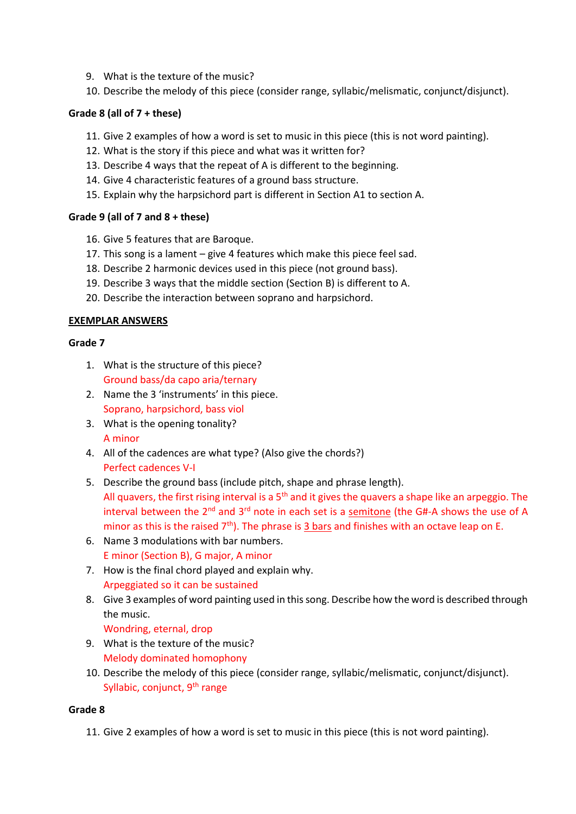- 9. What is the texture of the music?
- 10. Describe the melody of this piece (consider range, syllabic/melismatic, conjunct/disjunct).

# **Grade 8 (all of 7 + these)**

- 11. Give 2 examples of how a word is set to music in this piece (this is not word painting).
- 12. What is the story if this piece and what was it written for?
- 13. Describe 4 ways that the repeat of A is different to the beginning.
- 14. Give 4 characteristic features of a ground bass structure.
- 15. Explain why the harpsichord part is different in Section A1 to section A.

# **Grade 9 (all of 7 and 8 + these)**

- 16. Give 5 features that are Baroque.
- 17. This song is a lament give 4 features which make this piece feel sad.
- 18. Describe 2 harmonic devices used in this piece (not ground bass).
- 19. Describe 3 ways that the middle section (Section B) is different to A.
- 20. Describe the interaction between soprano and harpsichord.

## **EXEMPLAR ANSWERS**

## **Grade 7**

- 1. What is the structure of this piece? Ground bass/da capo aria/ternary
- 2. Name the 3 'instruments' in this piece. Soprano, harpsichord, bass viol
- 3. What is the opening tonality? A minor
- 4. All of the cadences are what type? (Also give the chords?) Perfect cadences V-I
- 5. Describe the ground bass (include pitch, shape and phrase length). All quavers, the first rising interval is a  $5<sup>th</sup>$  and it gives the quavers a shape like an arpeggio. The interval between the  $2^{nd}$  and  $3^{rd}$  note in each set is a semitone (the G#-A shows the use of A minor as this is the raised  $7<sup>th</sup>$ ). The phrase is 3 bars and finishes with an octave leap on E.
- 6. Name 3 modulations with bar numbers. E minor (Section B), G major, A minor
- 7. How is the final chord played and explain why. Arpeggiated so it can be sustained
- 8. Give 3 examples of word painting used in this song. Describe how the word is described through the music.

Wondring, eternal, drop

- 9. What is the texture of the music? Melody dominated homophony
- 10. Describe the melody of this piece (consider range, syllabic/melismatic, conjunct/disjunct). Syllabic, conjunct,  $9<sup>th</sup>$  range

# **Grade 8**

11. Give 2 examples of how a word is set to music in this piece (this is not word painting).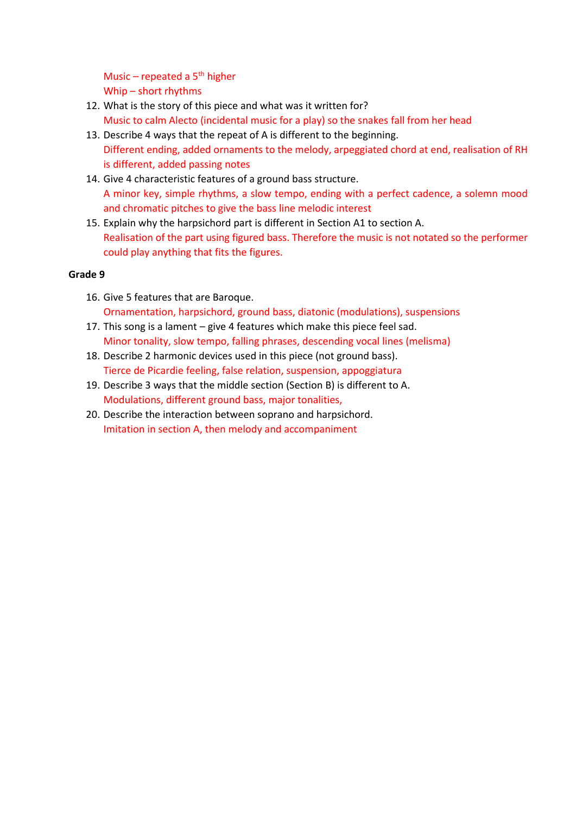Music – repeated a  $5<sup>th</sup>$  higher Whip – short rhythms

- 12. What is the story of this piece and what was it written for? Music to calm Alecto (incidental music for a play) so the snakes fall from her head
- 13. Describe 4 ways that the repeat of A is different to the beginning. Different ending, added ornaments to the melody, arpeggiated chord at end, realisation of RH is different, added passing notes
- 14. Give 4 characteristic features of a ground bass structure. A minor key, simple rhythms, a slow tempo, ending with a perfect cadence, a solemn mood and chromatic pitches to give the bass line melodic interest
- 15. Explain why the harpsichord part is different in Section A1 to section A. Realisation of the part using figured bass. Therefore the music is not notated so the performer could play anything that fits the figures.

- 16. Give 5 features that are Baroque. Ornamentation, harpsichord, ground bass, diatonic (modulations), suspensions
- 17. This song is a lament give 4 features which make this piece feel sad. Minor tonality, slow tempo, falling phrases, descending vocal lines (melisma)
- 18. Describe 2 harmonic devices used in this piece (not ground bass). Tierce de Picardie feeling, false relation, suspension, appoggiatura
- 19. Describe 3 ways that the middle section (Section B) is different to A. Modulations, different ground bass, major tonalities,
- 20. Describe the interaction between soprano and harpsichord. Imitation in section A, then melody and accompaniment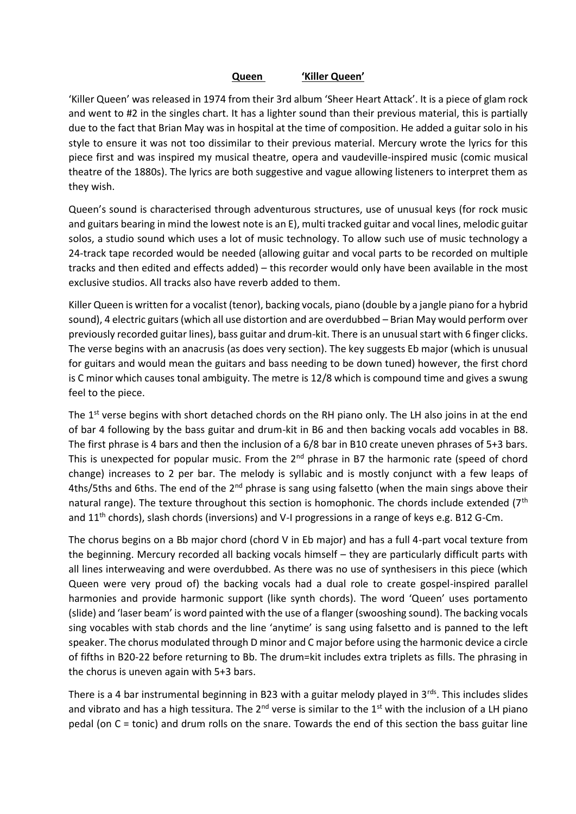#### **Queen 'Killer Queen'**

'Killer Queen' was released in 1974 from their 3rd album 'Sheer Heart Attack'. It is a piece of glam rock and went to #2 in the singles chart. It has a lighter sound than their previous material, this is partially due to the fact that Brian May was in hospital at the time of composition. He added a guitar solo in his style to ensure it was not too dissimilar to their previous material. Mercury wrote the lyrics for this piece first and was inspired my musical theatre, opera and vaudeville-inspired music (comic musical theatre of the 1880s). The lyrics are both suggestive and vague allowing listeners to interpret them as they wish.

Queen's sound is characterised through adventurous structures, use of unusual keys (for rock music and guitars bearing in mind the lowest note is an E), multi tracked guitar and vocal lines, melodic guitar solos, a studio sound which uses a lot of music technology. To allow such use of music technology a 24-track tape recorded would be needed (allowing guitar and vocal parts to be recorded on multiple tracks and then edited and effects added) – this recorder would only have been available in the most exclusive studios. All tracks also have reverb added to them.

Killer Queen is written for a vocalist (tenor), backing vocals, piano (double by a jangle piano for a hybrid sound), 4 electric guitars (which all use distortion and are overdubbed – Brian May would perform over previously recorded guitar lines), bass guitar and drum-kit. There is an unusual start with 6 finger clicks. The verse begins with an anacrusis (as does very section). The key suggests Eb major (which is unusual for guitars and would mean the guitars and bass needing to be down tuned) however, the first chord is C minor which causes tonal ambiguity. The metre is 12/8 which is compound time and gives a swung feel to the piece.

The 1<sup>st</sup> verse begins with short detached chords on the RH piano only. The LH also joins in at the end of bar 4 following by the bass guitar and drum-kit in B6 and then backing vocals add vocables in B8. The first phrase is 4 bars and then the inclusion of a 6/8 bar in B10 create uneven phrases of 5+3 bars. This is unexpected for popular music. From the  $2^{nd}$  phrase in B7 the harmonic rate (speed of chord change) increases to 2 per bar. The melody is syllabic and is mostly conjunct with a few leaps of 4ths/5ths and 6ths. The end of the 2<sup>nd</sup> phrase is sang using falsetto (when the main sings above their natural range). The texture throughout this section is homophonic. The chords include extended  $(7<sup>th</sup>$ and 11<sup>th</sup> chords), slash chords (inversions) and V-I progressions in a range of keys e.g. B12 G-Cm.

The chorus begins on a Bb major chord (chord V in Eb major) and has a full 4-part vocal texture from the beginning. Mercury recorded all backing vocals himself – they are particularly difficult parts with all lines interweaving and were overdubbed. As there was no use of synthesisers in this piece (which Queen were very proud of) the backing vocals had a dual role to create gospel-inspired parallel harmonies and provide harmonic support (like synth chords). The word 'Queen' uses portamento (slide) and 'laser beam' is word painted with the use of a flanger (swooshing sound). The backing vocals sing vocables with stab chords and the line 'anytime' is sang using falsetto and is panned to the left speaker. The chorus modulated through D minor and C major before using the harmonic device a circle of fifths in B20-22 before returning to Bb. The drum=kit includes extra triplets as fills. The phrasing in the chorus is uneven again with 5+3 bars.

There is a 4 bar instrumental beginning in B23 with a guitar melody played in  $3^{rds}$ . This includes slides and vibrato and has a high tessitura. The  $2^{nd}$  verse is similar to the  $1^{st}$  with the inclusion of a LH piano pedal (on C = tonic) and drum rolls on the snare. Towards the end of this section the bass guitar line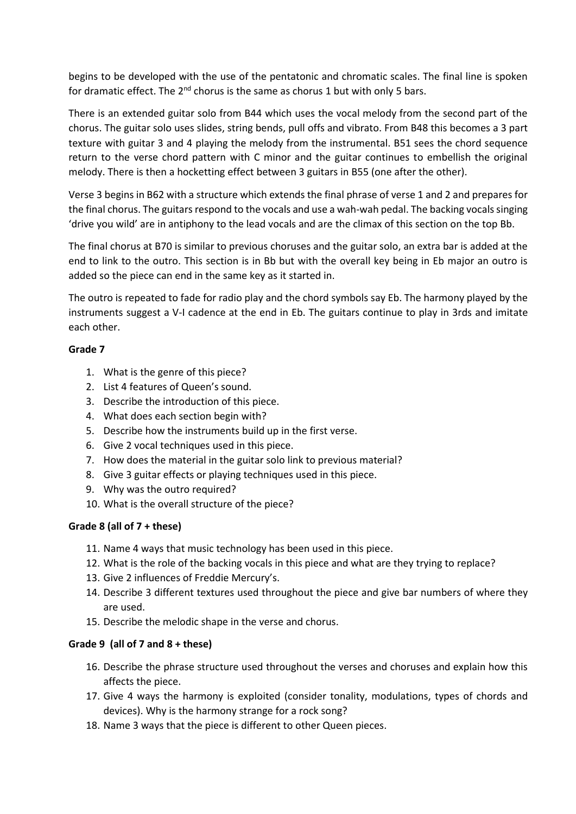begins to be developed with the use of the pentatonic and chromatic scales. The final line is spoken for dramatic effect. The  $2^{nd}$  chorus is the same as chorus 1 but with only 5 bars.

There is an extended guitar solo from B44 which uses the vocal melody from the second part of the chorus. The guitar solo uses slides, string bends, pull offs and vibrato. From B48 this becomes a 3 part texture with guitar 3 and 4 playing the melody from the instrumental. B51 sees the chord sequence return to the verse chord pattern with C minor and the guitar continues to embellish the original melody. There is then a hocketting effect between 3 guitars in B55 (one after the other).

Verse 3 begins in B62 with a structure which extends the final phrase of verse 1 and 2 and prepares for the final chorus. The guitars respond to the vocals and use a wah-wah pedal. The backing vocals singing 'drive you wild' are in antiphony to the lead vocals and are the climax of this section on the top Bb.

The final chorus at B70 is similar to previous choruses and the guitar solo, an extra bar is added at the end to link to the outro. This section is in Bb but with the overall key being in Eb major an outro is added so the piece can end in the same key as it started in.

The outro is repeated to fade for radio play and the chord symbols say Eb. The harmony played by the instruments suggest a V-I cadence at the end in Eb. The guitars continue to play in 3rds and imitate each other.

## **Grade 7**

- 1. What is the genre of this piece?
- 2. List 4 features of Queen's sound.
- 3. Describe the introduction of this piece.
- 4. What does each section begin with?
- 5. Describe how the instruments build up in the first verse.
- 6. Give 2 vocal techniques used in this piece.
- 7. How does the material in the guitar solo link to previous material?
- 8. Give 3 guitar effects or playing techniques used in this piece.
- 9. Why was the outro required?
- 10. What is the overall structure of the piece?

#### **Grade 8 (all of 7 + these)**

- 11. Name 4 ways that music technology has been used in this piece.
- 12. What is the role of the backing vocals in this piece and what are they trying to replace?
- 13. Give 2 influences of Freddie Mercury's.
- 14. Describe 3 different textures used throughout the piece and give bar numbers of where they are used.
- 15. Describe the melodic shape in the verse and chorus.

#### **Grade 9 (all of 7 and 8 + these)**

- 16. Describe the phrase structure used throughout the verses and choruses and explain how this affects the piece.
- 17. Give 4 ways the harmony is exploited (consider tonality, modulations, types of chords and devices). Why is the harmony strange for a rock song?
- 18. Name 3 ways that the piece is different to other Queen pieces.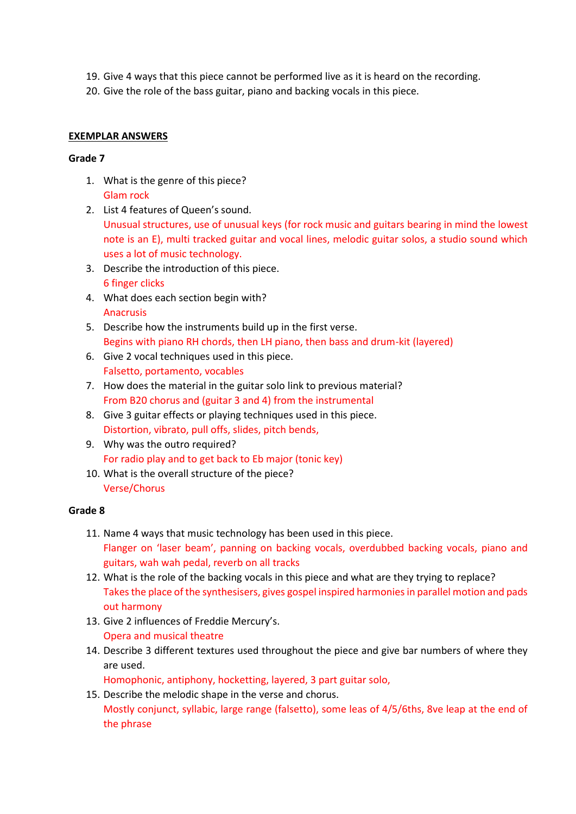- 19. Give 4 ways that this piece cannot be performed live as it is heard on the recording.
- 20. Give the role of the bass guitar, piano and backing vocals in this piece.

## **EXEMPLAR ANSWERS**

#### **Grade 7**

- 1. What is the genre of this piece? Glam rock
- 2. List 4 features of Queen's sound. Unusual structures, use of unusual keys (for rock music and guitars bearing in mind the lowest note is an E), multi tracked guitar and vocal lines, melodic guitar solos, a studio sound which uses a lot of music technology.
- 3. Describe the introduction of this piece. 6 finger clicks
- 4. What does each section begin with? Anacrusis
- 5. Describe how the instruments build up in the first verse. Begins with piano RH chords, then LH piano, then bass and drum-kit (layered)
- 6. Give 2 vocal techniques used in this piece. Falsetto, portamento, vocables
- 7. How does the material in the guitar solo link to previous material? From B20 chorus and (guitar 3 and 4) from the instrumental
- 8. Give 3 guitar effects or playing techniques used in this piece. Distortion, vibrato, pull offs, slides, pitch bends,
- 9. Why was the outro required? For radio play and to get back to Eb major (tonic key)
- 10. What is the overall structure of the piece? Verse/Chorus

#### **Grade 8**

- 11. Name 4 ways that music technology has been used in this piece. Flanger on 'laser beam', panning on backing vocals, overdubbed backing vocals, piano and guitars, wah wah pedal, reverb on all tracks
- 12. What is the role of the backing vocals in this piece and what are they trying to replace? Takes the place of the synthesisers, gives gospel inspired harmonies in parallel motion and pads out harmony
- 13. Give 2 influences of Freddie Mercury's. Opera and musical theatre
- 14. Describe 3 different textures used throughout the piece and give bar numbers of where they are used.

Homophonic, antiphony, hocketting, layered, 3 part guitar solo,

15. Describe the melodic shape in the verse and chorus. Mostly conjunct, syllabic, large range (falsetto), some leas of 4/5/6ths, 8ve leap at the end of the phrase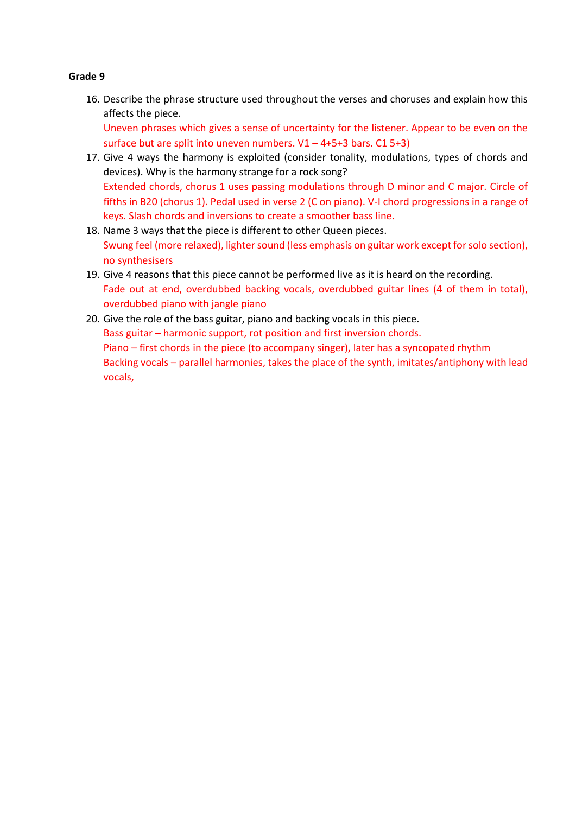16. Describe the phrase structure used throughout the verses and choruses and explain how this affects the piece.

Uneven phrases which gives a sense of uncertainty for the listener. Appear to be even on the surface but are split into uneven numbers.  $V1 - 4+5+3$  bars.  $C15+3$ )

- 17. Give 4 ways the harmony is exploited (consider tonality, modulations, types of chords and devices). Why is the harmony strange for a rock song? Extended chords, chorus 1 uses passing modulations through D minor and C major. Circle of fifths in B20 (chorus 1). Pedal used in verse 2 (C on piano). V-I chord progressions in a range of keys. Slash chords and inversions to create a smoother bass line.
- 18. Name 3 ways that the piece is different to other Queen pieces. Swung feel (more relaxed), lighter sound (less emphasis on guitar work except for solo section), no synthesisers
- 19. Give 4 reasons that this piece cannot be performed live as it is heard on the recording. Fade out at end, overdubbed backing vocals, overdubbed guitar lines (4 of them in total), overdubbed piano with jangle piano
- 20. Give the role of the bass guitar, piano and backing vocals in this piece. Bass guitar – harmonic support, rot position and first inversion chords. Piano – first chords in the piece (to accompany singer), later has a syncopated rhythm Backing vocals – parallel harmonies, takes the place of the synth, imitates/antiphony with lead vocals,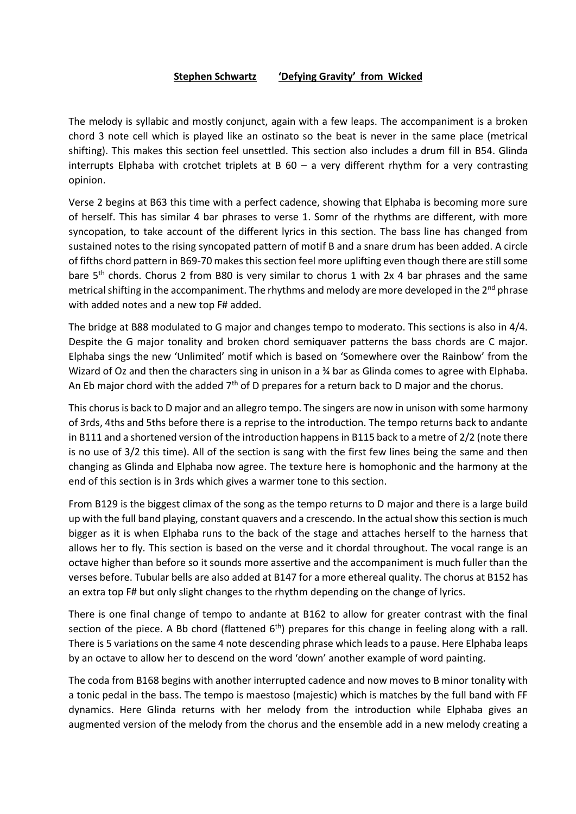#### **Stephen Schwartz 'Defying Gravity' from Wicked**

The melody is syllabic and mostly conjunct, again with a few leaps. The accompaniment is a broken chord 3 note cell which is played like an ostinato so the beat is never in the same place (metrical shifting). This makes this section feel unsettled. This section also includes a drum fill in B54. Glinda interrupts Elphaba with crotchet triplets at  $B$  60 – a very different rhythm for a very contrasting opinion.

Verse 2 begins at B63 this time with a perfect cadence, showing that Elphaba is becoming more sure of herself. This has similar 4 bar phrases to verse 1. Somr of the rhythms are different, with more syncopation, to take account of the different lyrics in this section. The bass line has changed from sustained notes to the rising syncopated pattern of motif B and a snare drum has been added. A circle of fifths chord pattern in B69-70 makes this section feel more uplifting even though there are still some bare 5<sup>th</sup> chords. Chorus 2 from B80 is very similar to chorus 1 with 2x 4 bar phrases and the same metrical shifting in the accompaniment. The rhythms and melody are more developed in the  $2^{nd}$  phrase with added notes and a new top F# added.

The bridge at B88 modulated to G major and changes tempo to moderato. This sections is also in 4/4. Despite the G major tonality and broken chord semiquaver patterns the bass chords are C major. Elphaba sings the new 'Unlimited' motif which is based on 'Somewhere over the Rainbow' from the Wizard of Oz and then the characters sing in unison in a ¾ bar as Glinda comes to agree with Elphaba. An Eb major chord with the added  $7<sup>th</sup>$  of D prepares for a return back to D major and the chorus.

This chorus is back to D major and an allegro tempo. The singers are now in unison with some harmony of 3rds, 4ths and 5ths before there is a reprise to the introduction. The tempo returns back to andante in B111 and a shortened version of the introduction happens in B115 back to a metre of 2/2 (note there is no use of 3/2 this time). All of the section is sang with the first few lines being the same and then changing as Glinda and Elphaba now agree. The texture here is homophonic and the harmony at the end of this section is in 3rds which gives a warmer tone to this section.

From B129 is the biggest climax of the song as the tempo returns to D major and there is a large build up with the full band playing, constant quavers and a crescendo. In the actual show this section is much bigger as it is when Elphaba runs to the back of the stage and attaches herself to the harness that allows her to fly. This section is based on the verse and it chordal throughout. The vocal range is an octave higher than before so it sounds more assertive and the accompaniment is much fuller than the verses before. Tubular bells are also added at B147 for a more ethereal quality. The chorus at B152 has an extra top F# but only slight changes to the rhythm depending on the change of lyrics.

There is one final change of tempo to andante at B162 to allow for greater contrast with the final section of the piece. A Bb chord (flattened  $6<sup>th</sup>$ ) prepares for this change in feeling along with a rall. There is 5 variations on the same 4 note descending phrase which leads to a pause. Here Elphaba leaps by an octave to allow her to descend on the word 'down' another example of word painting.

The coda from B168 begins with another interrupted cadence and now moves to B minor tonality with a tonic pedal in the bass. The tempo is maestoso (majestic) which is matches by the full band with FF dynamics. Here Glinda returns with her melody from the introduction while Elphaba gives an augmented version of the melody from the chorus and the ensemble add in a new melody creating a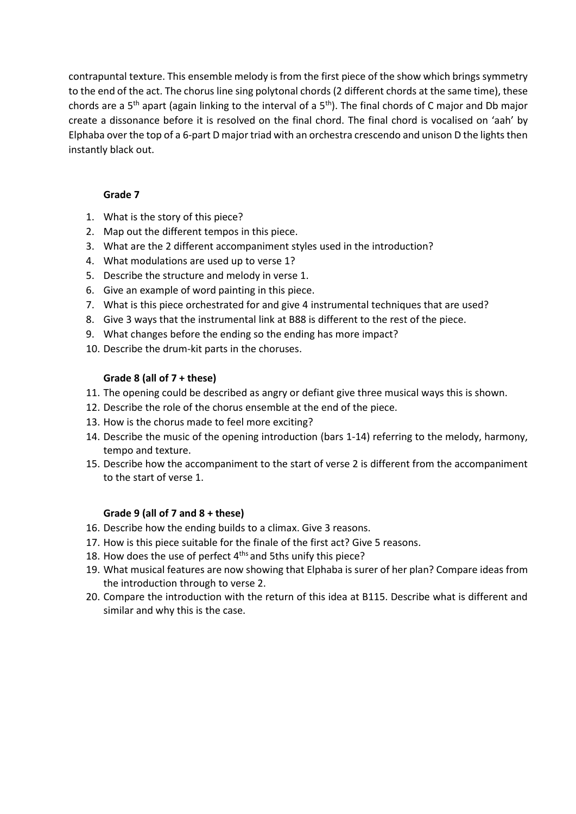contrapuntal texture. This ensemble melody is from the first piece of the show which brings symmetry to the end of the act. The chorus line sing polytonal chords (2 different chords at the same time), these chords are a 5<sup>th</sup> apart (again linking to the interval of a 5<sup>th</sup>). The final chords of C major and Db major create a dissonance before it is resolved on the final chord. The final chord is vocalised on 'aah' by Elphaba over the top of a 6-part D major triad with an orchestra crescendo and unison D the lights then instantly black out.

## **Grade 7**

- 1. What is the story of this piece?
- 2. Map out the different tempos in this piece.
- 3. What are the 2 different accompaniment styles used in the introduction?
- 4. What modulations are used up to verse 1?
- 5. Describe the structure and melody in verse 1.
- 6. Give an example of word painting in this piece.
- 7. What is this piece orchestrated for and give 4 instrumental techniques that are used?
- 8. Give 3 ways that the instrumental link at B88 is different to the rest of the piece.
- 9. What changes before the ending so the ending has more impact?
- 10. Describe the drum-kit parts in the choruses.

## **Grade 8 (all of 7 + these)**

- 11. The opening could be described as angry or defiant give three musical ways this is shown.
- 12. Describe the role of the chorus ensemble at the end of the piece.
- 13. How is the chorus made to feel more exciting?
- 14. Describe the music of the opening introduction (bars 1-14) referring to the melody, harmony, tempo and texture.
- 15. Describe how the accompaniment to the start of verse 2 is different from the accompaniment to the start of verse 1.

# **Grade 9 (all of 7 and 8 + these)**

- 16. Describe how the ending builds to a climax. Give 3 reasons.
- 17. How is this piece suitable for the finale of the first act? Give 5 reasons.
- 18. How does the use of perfect  $4<sup>ths</sup>$  and 5ths unify this piece?
- 19. What musical features are now showing that Elphaba is surer of her plan? Compare ideas from the introduction through to verse 2.
- 20. Compare the introduction with the return of this idea at B115. Describe what is different and similar and why this is the case.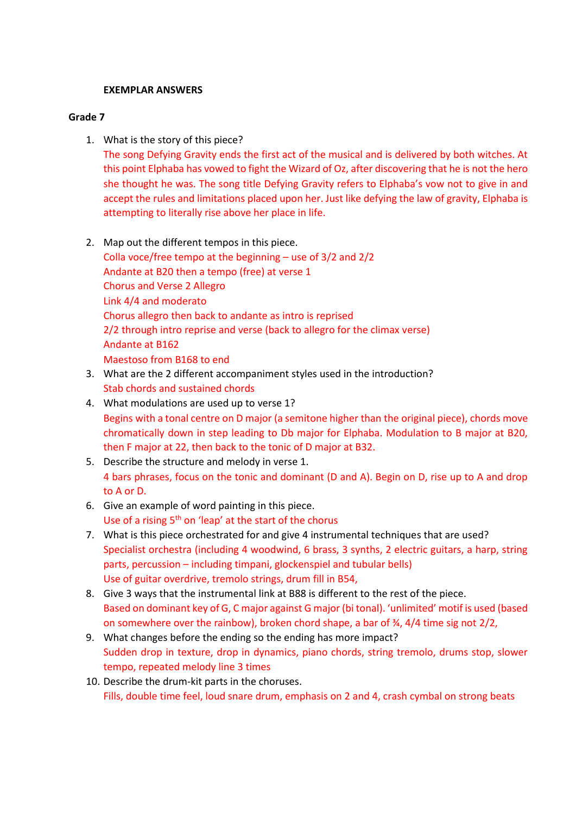#### **EXEMPLAR ANSWERS**

#### **Grade 7**

1. What is the story of this piece?

The song Defying Gravity ends the first act of the musical and is delivered by both witches. At this point Elphaba has vowed to fight the Wizard of Oz, after discovering that he is not the hero she thought he was. The song title Defying Gravity refers to Elphaba's vow not to give in and accept the rules and limitations placed upon her. Just like defying the law of gravity, Elphaba is attempting to literally rise above her place in life.

- 2. Map out the different tempos in this piece. Colla voce/free tempo at the beginning – use of 3/2 and 2/2 Andante at B20 then a tempo (free) at verse 1 Chorus and Verse 2 Allegro Link 4/4 and moderato Chorus allegro then back to andante as intro is reprised 2/2 through intro reprise and verse (back to allegro for the climax verse) Andante at B162 Maestoso from B168 to end
- 3. What are the 2 different accompaniment styles used in the introduction? Stab chords and sustained chords
- 4. What modulations are used up to verse 1? Begins with a tonal centre on D major (a semitone higher than the original piece), chords move chromatically down in step leading to Db major for Elphaba. Modulation to B major at B20, then F major at 22, then back to the tonic of D major at B32.
- 5. Describe the structure and melody in verse 1. 4 bars phrases, focus on the tonic and dominant (D and A). Begin on D, rise up to A and drop to A or D.
- 6. Give an example of word painting in this piece. Use of a rising  $5<sup>th</sup>$  on 'leap' at the start of the chorus
- 7. What is this piece orchestrated for and give 4 instrumental techniques that are used? Specialist orchestra (including 4 woodwind, 6 brass, 3 synths, 2 electric guitars, a harp, string parts, percussion – including timpani, glockenspiel and tubular bells) Use of guitar overdrive, tremolo strings, drum fill in B54,
- 8. Give 3 ways that the instrumental link at B88 is different to the rest of the piece. Based on dominant key of G, C major against G major (bi tonal). 'unlimited' motif is used (based on somewhere over the rainbow), broken chord shape, a bar of  $\frac{3}{4}$ , 4/4 time sig not 2/2,
- 9. What changes before the ending so the ending has more impact? Sudden drop in texture, drop in dynamics, piano chords, string tremolo, drums stop, slower tempo, repeated melody line 3 times
- 10. Describe the drum-kit parts in the choruses. Fills, double time feel, loud snare drum, emphasis on 2 and 4, crash cymbal on strong beats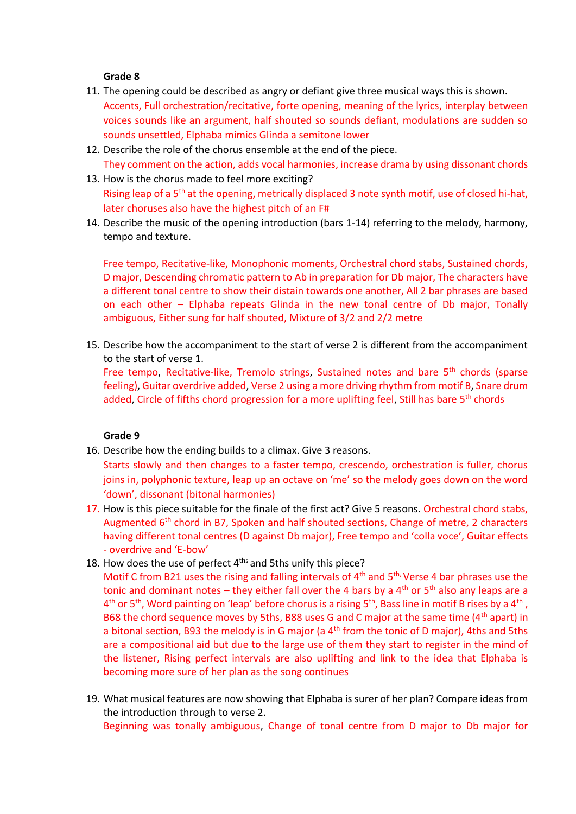- 11. The opening could be described as angry or defiant give three musical ways this is shown. Accents, Full orchestration/recitative, forte opening, meaning of the lyrics, interplay between voices sounds like an argument, half shouted so sounds defiant, modulations are sudden so sounds unsettled, Elphaba mimics Glinda a semitone lower
- 12. Describe the role of the chorus ensemble at the end of the piece. They comment on the action, adds vocal harmonies, increase drama by using dissonant chords
- 13. How is the chorus made to feel more exciting? Rising leap of a  $5<sup>th</sup>$  at the opening, metrically displaced 3 note synth motif, use of closed hi-hat, later choruses also have the highest pitch of an F#
- 14. Describe the music of the opening introduction (bars 1-14) referring to the melody, harmony, tempo and texture.

Free tempo, Recitative-like, Monophonic moments, Orchestral chord stabs, Sustained chords, D major, Descending chromatic pattern to Ab in preparation for Db major, The characters have a different tonal centre to show their distain towards one another, All 2 bar phrases are based on each other – Elphaba repeats Glinda in the new tonal centre of Db major, Tonally ambiguous, Either sung for half shouted, Mixture of 3/2 and 2/2 metre

15. Describe how the accompaniment to the start of verse 2 is different from the accompaniment to the start of verse 1.

Free tempo, Recitative-like, Tremolo strings, Sustained notes and bare 5<sup>th</sup> chords (sparse feeling), Guitar overdrive added, Verse 2 using a more driving rhythm from motif B, Snare drum added, Circle of fifths chord progression for a more uplifting feel, Still has bare 5<sup>th</sup> chords

#### **Grade 9**

16. Describe how the ending builds to a climax. Give 3 reasons.

Starts slowly and then changes to a faster tempo, crescendo, orchestration is fuller, chorus joins in, polyphonic texture, leap up an octave on 'me' so the melody goes down on the word 'down', dissonant (bitonal harmonies)

- 17. How is this piece suitable for the finale of the first act? Give 5 reasons. Orchestral chord stabs, Augmented  $6<sup>th</sup>$  chord in B7, Spoken and half shouted sections, Change of metre, 2 characters having different tonal centres (D against Db major), Free tempo and 'colla voce', Guitar effects - overdrive and 'E-bow'
- 18. How does the use of perfect 4<sup>ths</sup> and 5ths unify this piece?

Motif C from B21 uses the rising and falling intervals of 4<sup>th</sup> and 5<sup>th,</sup> Verse 4 bar phrases use the tonic and dominant notes – they either fall over the 4 bars by a  $4<sup>th</sup>$  or  $5<sup>th</sup>$  also any leaps are a  $4^{\text{th}}$  or 5<sup>th</sup>, Word painting on 'leap' before chorus is a rising 5<sup>th</sup>, Bass line in motif B rises by a 4<sup>th</sup>, B68 the chord sequence moves by 5ths, B88 uses G and C major at the same time (4<sup>th</sup> apart) in a bitonal section, B93 the melody is in G major (a  $4<sup>th</sup>$  from the tonic of D major), 4ths and 5ths are a compositional aid but due to the large use of them they start to register in the mind of the listener, Rising perfect intervals are also uplifting and link to the idea that Elphaba is becoming more sure of her plan as the song continues

19. What musical features are now showing that Elphaba is surer of her plan? Compare ideas from the introduction through to verse 2. Beginning was tonally ambiguous, Change of tonal centre from D major to Db major for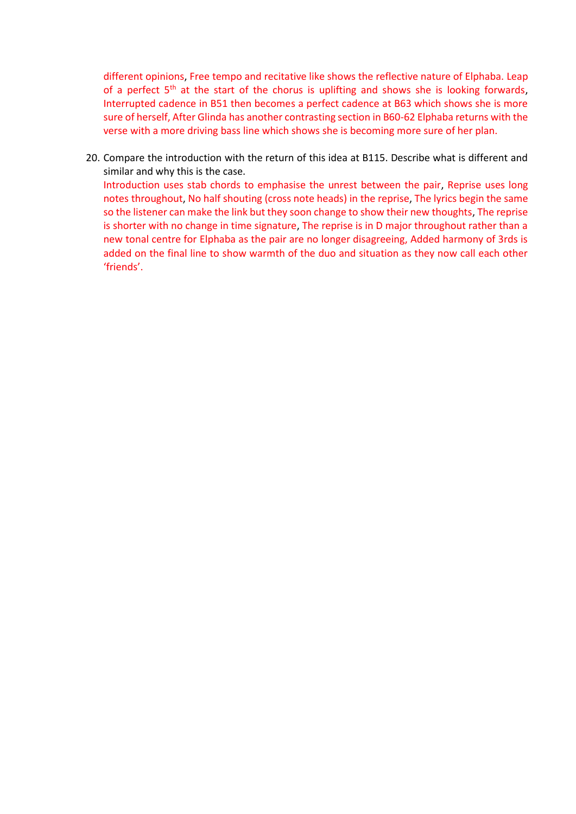different opinions, Free tempo and recitative like shows the reflective nature of Elphaba. Leap of a perfect  $5<sup>th</sup>$  at the start of the chorus is uplifting and shows she is looking forwards, Interrupted cadence in B51 then becomes a perfect cadence at B63 which shows she is more sure of herself, After Glinda has another contrasting section in B60-62 Elphaba returns with the verse with a more driving bass line which shows she is becoming more sure of her plan.

20. Compare the introduction with the return of this idea at B115. Describe what is different and similar and why this is the case.

Introduction uses stab chords to emphasise the unrest between the pair, Reprise uses long notes throughout, No half shouting (cross note heads) in the reprise, The lyrics begin the same so the listener can make the link but they soon change to show their new thoughts, The reprise is shorter with no change in time signature, The reprise is in D major throughout rather than a new tonal centre for Elphaba as the pair are no longer disagreeing, Added harmony of 3rds is added on the final line to show warmth of the duo and situation as they now call each other 'friends'.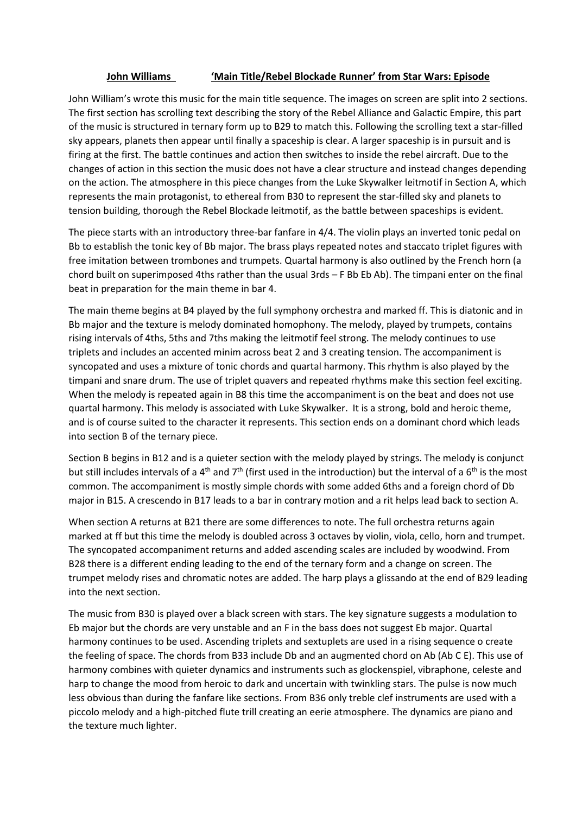#### **John Williams 'Main Title/Rebel Blockade Runner' from Star Wars: Episode**

John William's wrote this music for the main title sequence. The images on screen are split into 2 sections. The first section has scrolling text describing the story of the Rebel Alliance and Galactic Empire, this part of the music is structured in ternary form up to B29 to match this. Following the scrolling text a star-filled sky appears, planets then appear until finally a spaceship is clear. A larger spaceship is in pursuit and is firing at the first. The battle continues and action then switches to inside the rebel aircraft. Due to the changes of action in this section the music does not have a clear structure and instead changes depending on the action. The atmosphere in this piece changes from the Luke Skywalker leitmotif in Section A, which represents the main protagonist, to ethereal from B30 to represent the star-filled sky and planets to tension building, thorough the Rebel Blockade leitmotif, as the battle between spaceships is evident.

The piece starts with an introductory three-bar fanfare in 4/4. The violin plays an inverted tonic pedal on Bb to establish the tonic key of Bb major. The brass plays repeated notes and staccato triplet figures with free imitation between trombones and trumpets. Quartal harmony is also outlined by the French horn (a chord built on superimposed 4ths rather than the usual 3rds – F Bb Eb Ab). The timpani enter on the final beat in preparation for the main theme in bar 4.

The main theme begins at B4 played by the full symphony orchestra and marked ff. This is diatonic and in Bb major and the texture is melody dominated homophony. The melody, played by trumpets, contains rising intervals of 4ths, 5ths and 7ths making the leitmotif feel strong. The melody continues to use triplets and includes an accented minim across beat 2 and 3 creating tension. The accompaniment is syncopated and uses a mixture of tonic chords and quartal harmony. This rhythm is also played by the timpani and snare drum. The use of triplet quavers and repeated rhythms make this section feel exciting. When the melody is repeated again in B8 this time the accompaniment is on the beat and does not use quartal harmony. This melody is associated with Luke Skywalker. It is a strong, bold and heroic theme, and is of course suited to the character it represents. This section ends on a dominant chord which leads into section B of the ternary piece.

Section B begins in B12 and is a quieter section with the melody played by strings. The melody is conjunct but still includes intervals of a 4<sup>th</sup> and 7<sup>th</sup> (first used in the introduction) but the interval of a 6<sup>th</sup> is the most common. The accompaniment is mostly simple chords with some added 6ths and a foreign chord of Db major in B15. A crescendo in B17 leads to a bar in contrary motion and a rit helps lead back to section A.

When section A returns at B21 there are some differences to note. The full orchestra returns again marked at ff but this time the melody is doubled across 3 octaves by violin, viola, cello, horn and trumpet. The syncopated accompaniment returns and added ascending scales are included by woodwind. From B28 there is a different ending leading to the end of the ternary form and a change on screen. The trumpet melody rises and chromatic notes are added. The harp plays a glissando at the end of B29 leading into the next section.

The music from B30 is played over a black screen with stars. The key signature suggests a modulation to Eb major but the chords are very unstable and an F in the bass does not suggest Eb major. Quartal harmony continues to be used. Ascending triplets and sextuplets are used in a rising sequence o create the feeling of space. The chords from B33 include Db and an augmented chord on Ab (Ab C E). This use of harmony combines with quieter dynamics and instruments such as glockenspiel, vibraphone, celeste and harp to change the mood from heroic to dark and uncertain with twinkling stars. The pulse is now much less obvious than during the fanfare like sections. From B36 only treble clef instruments are used with a piccolo melody and a high-pitched flute trill creating an eerie atmosphere. The dynamics are piano and the texture much lighter.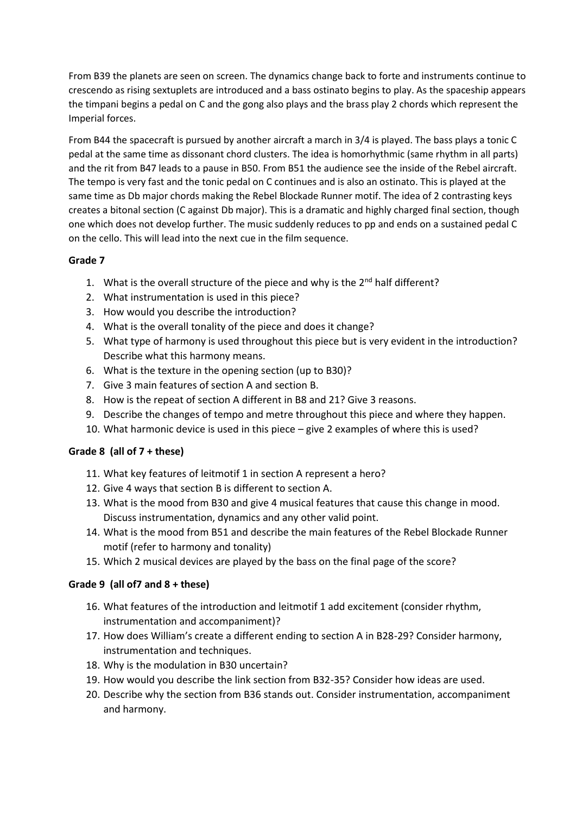From B39 the planets are seen on screen. The dynamics change back to forte and instruments continue to crescendo as rising sextuplets are introduced and a bass ostinato begins to play. As the spaceship appears the timpani begins a pedal on C and the gong also plays and the brass play 2 chords which represent the Imperial forces.

From B44 the spacecraft is pursued by another aircraft a march in 3/4 is played. The bass plays a tonic C pedal at the same time as dissonant chord clusters. The idea is homorhythmic (same rhythm in all parts) and the rit from B47 leads to a pause in B50. From B51 the audience see the inside of the Rebel aircraft. The tempo is very fast and the tonic pedal on C continues and is also an ostinato. This is played at the same time as Db major chords making the Rebel Blockade Runner motif. The idea of 2 contrasting keys creates a bitonal section (C against Db major). This is a dramatic and highly charged final section, though one which does not develop further. The music suddenly reduces to pp and ends on a sustained pedal C on the cello. This will lead into the next cue in the film sequence.

## **Grade 7**

- 1. What is the overall structure of the piece and why is the  $2^{nd}$  half different?
- 2. What instrumentation is used in this piece?
- 3. How would you describe the introduction?
- 4. What is the overall tonality of the piece and does it change?
- 5. What type of harmony is used throughout this piece but is very evident in the introduction? Describe what this harmony means.
- 6. What is the texture in the opening section (up to B30)?
- 7. Give 3 main features of section A and section B.
- 8. How is the repeat of section A different in B8 and 21? Give 3 reasons.
- 9. Describe the changes of tempo and metre throughout this piece and where they happen.
- 10. What harmonic device is used in this piece give 2 examples of where this is used?

# **Grade 8 (all of 7 + these)**

- 11. What key features of leitmotif 1 in section A represent a hero?
- 12. Give 4 ways that section B is different to section A.
- 13. What is the mood from B30 and give 4 musical features that cause this change in mood. Discuss instrumentation, dynamics and any other valid point.
- 14. What is the mood from B51 and describe the main features of the Rebel Blockade Runner motif (refer to harmony and tonality)
- 15. Which 2 musical devices are played by the bass on the final page of the score?

# **Grade 9 (all of7 and 8 + these)**

- 16. What features of the introduction and leitmotif 1 add excitement (consider rhythm, instrumentation and accompaniment)?
- 17. How does William's create a different ending to section A in B28-29? Consider harmony, instrumentation and techniques.
- 18. Why is the modulation in B30 uncertain?
- 19. How would you describe the link section from B32-35? Consider how ideas are used.
- 20. Describe why the section from B36 stands out. Consider instrumentation, accompaniment and harmony.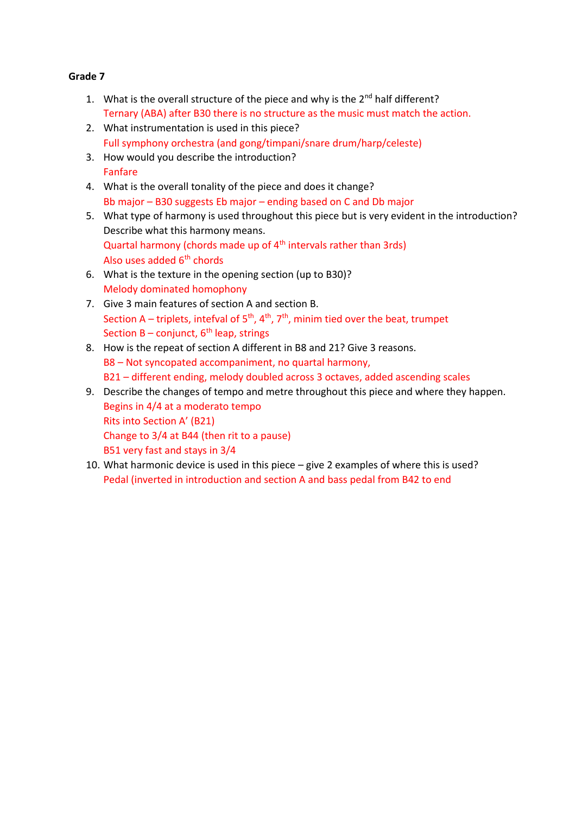- 1. What is the overall structure of the piece and why is the  $2^{nd}$  half different? Ternary (ABA) after B30 there is no structure as the music must match the action.
- 2. What instrumentation is used in this piece? Full symphony orchestra (and gong/timpani/snare drum/harp/celeste)
- 3. How would you describe the introduction? Fanfare
- 4. What is the overall tonality of the piece and does it change? Bb major – B30 suggests Eb major – ending based on C and Db major
- 5. What type of harmony is used throughout this piece but is very evident in the introduction? Describe what this harmony means. Quartal harmony (chords made up of 4<sup>th</sup> intervals rather than 3rds) Also uses added  $6<sup>th</sup>$  chords
- 6. What is the texture in the opening section (up to B30)? Melody dominated homophony
- 7. Give 3 main features of section A and section B. Section A – triplets, intefval of  $5<sup>th</sup>$ ,  $4<sup>th</sup>$ ,  $7<sup>th</sup>$ , minim tied over the beat, trumpet Section  $B -$  conjunct,  $6<sup>th</sup>$  leap, strings
- 8. How is the repeat of section A different in B8 and 21? Give 3 reasons. B8 – Not syncopated accompaniment, no quartal harmony, B21 – different ending, melody doubled across 3 octaves, added ascending scales
- 9. Describe the changes of tempo and metre throughout this piece and where they happen. Begins in 4/4 at a moderato tempo Rits into Section A' (B21) Change to 3/4 at B44 (then rit to a pause) B51 very fast and stays in 3/4
- 10. What harmonic device is used in this piece give 2 examples of where this is used? Pedal (inverted in introduction and section A and bass pedal from B42 to end